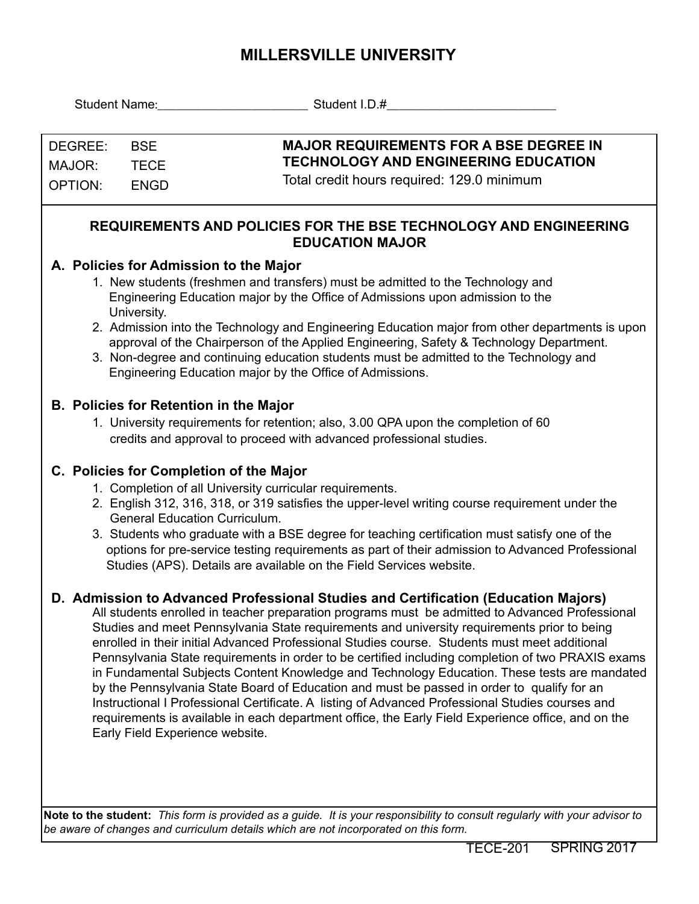## **MILLERSVILLE UNIVERSITY**

| Student Name: Name                                                                                                                                                              |                                                                                                                                                                                                                                                                                                                                                  | Student I.D.#                                                                                                                                                                                                                                                                                                                                                                                                                                                                                                                                                                                                                                                                                                                                                                                                                                                                                                                         |  |  |  |  |  |  |  |  |
|---------------------------------------------------------------------------------------------------------------------------------------------------------------------------------|--------------------------------------------------------------------------------------------------------------------------------------------------------------------------------------------------------------------------------------------------------------------------------------------------------------------------------------------------|---------------------------------------------------------------------------------------------------------------------------------------------------------------------------------------------------------------------------------------------------------------------------------------------------------------------------------------------------------------------------------------------------------------------------------------------------------------------------------------------------------------------------------------------------------------------------------------------------------------------------------------------------------------------------------------------------------------------------------------------------------------------------------------------------------------------------------------------------------------------------------------------------------------------------------------|--|--|--|--|--|--|--|--|
|                                                                                                                                                                                 |                                                                                                                                                                                                                                                                                                                                                  |                                                                                                                                                                                                                                                                                                                                                                                                                                                                                                                                                                                                                                                                                                                                                                                                                                                                                                                                       |  |  |  |  |  |  |  |  |
| DEGREE:                                                                                                                                                                         | <b>BSE</b>                                                                                                                                                                                                                                                                                                                                       | <b>MAJOR REQUIREMENTS FOR A BSE DEGREE IN</b>                                                                                                                                                                                                                                                                                                                                                                                                                                                                                                                                                                                                                                                                                                                                                                                                                                                                                         |  |  |  |  |  |  |  |  |
| MAJOR:                                                                                                                                                                          | <b>TECE</b>                                                                                                                                                                                                                                                                                                                                      | <b>TECHNOLOGY AND ENGINEERING EDUCATION</b>                                                                                                                                                                                                                                                                                                                                                                                                                                                                                                                                                                                                                                                                                                                                                                                                                                                                                           |  |  |  |  |  |  |  |  |
| <b>OPTION:</b>                                                                                                                                                                  | <b>ENGD</b>                                                                                                                                                                                                                                                                                                                                      | Total credit hours required: 129.0 minimum                                                                                                                                                                                                                                                                                                                                                                                                                                                                                                                                                                                                                                                                                                                                                                                                                                                                                            |  |  |  |  |  |  |  |  |
|                                                                                                                                                                                 |                                                                                                                                                                                                                                                                                                                                                  |                                                                                                                                                                                                                                                                                                                                                                                                                                                                                                                                                                                                                                                                                                                                                                                                                                                                                                                                       |  |  |  |  |  |  |  |  |
| <b>REQUIREMENTS AND POLICIES FOR THE BSE TECHNOLOGY AND ENGINEERING</b><br><b>EDUCATION MAJOR</b>                                                                               |                                                                                                                                                                                                                                                                                                                                                  |                                                                                                                                                                                                                                                                                                                                                                                                                                                                                                                                                                                                                                                                                                                                                                                                                                                                                                                                       |  |  |  |  |  |  |  |  |
| A. Policies for Admission to the Major                                                                                                                                          |                                                                                                                                                                                                                                                                                                                                                  |                                                                                                                                                                                                                                                                                                                                                                                                                                                                                                                                                                                                                                                                                                                                                                                                                                                                                                                                       |  |  |  |  |  |  |  |  |
| 1. New students (freshmen and transfers) must be admitted to the Technology and<br>Engineering Education major by the Office of Admissions upon admission to the<br>University. |                                                                                                                                                                                                                                                                                                                                                  |                                                                                                                                                                                                                                                                                                                                                                                                                                                                                                                                                                                                                                                                                                                                                                                                                                                                                                                                       |  |  |  |  |  |  |  |  |
|                                                                                                                                                                                 | 2. Admission into the Technology and Engineering Education major from other departments is upon<br>approval of the Chairperson of the Applied Engineering, Safety & Technology Department.<br>3. Non-degree and continuing education students must be admitted to the Technology and<br>Engineering Education major by the Office of Admissions. |                                                                                                                                                                                                                                                                                                                                                                                                                                                                                                                                                                                                                                                                                                                                                                                                                                                                                                                                       |  |  |  |  |  |  |  |  |
|                                                                                                                                                                                 |                                                                                                                                                                                                                                                                                                                                                  | <b>B. Policies for Retention in the Major</b><br>1. University requirements for retention; also, 3.00 QPA upon the completion of 60<br>credits and approval to proceed with advanced professional studies.                                                                                                                                                                                                                                                                                                                                                                                                                                                                                                                                                                                                                                                                                                                            |  |  |  |  |  |  |  |  |
|                                                                                                                                                                                 |                                                                                                                                                                                                                                                                                                                                                  | C. Policies for Completion of the Major                                                                                                                                                                                                                                                                                                                                                                                                                                                                                                                                                                                                                                                                                                                                                                                                                                                                                               |  |  |  |  |  |  |  |  |
|                                                                                                                                                                                 | 1. Completion of all University curricular requirements.                                                                                                                                                                                                                                                                                         |                                                                                                                                                                                                                                                                                                                                                                                                                                                                                                                                                                                                                                                                                                                                                                                                                                                                                                                                       |  |  |  |  |  |  |  |  |
|                                                                                                                                                                                 |                                                                                                                                                                                                                                                                                                                                                  | 2. English 312, 316, 318, or 319 satisfies the upper-level writing course requirement under the<br><b>General Education Curriculum.</b>                                                                                                                                                                                                                                                                                                                                                                                                                                                                                                                                                                                                                                                                                                                                                                                               |  |  |  |  |  |  |  |  |
|                                                                                                                                                                                 |                                                                                                                                                                                                                                                                                                                                                  | 3. Students who graduate with a BSE degree for teaching certification must satisfy one of the<br>options for pre-service testing requirements as part of their admission to Advanced Professional<br>Studies (APS). Details are available on the Field Services website.                                                                                                                                                                                                                                                                                                                                                                                                                                                                                                                                                                                                                                                              |  |  |  |  |  |  |  |  |
|                                                                                                                                                                                 |                                                                                                                                                                                                                                                                                                                                                  | D. Admission to Advanced Professional Studies and Certification (Education Majors)<br>All students enrolled in teacher preparation programs must be admitted to Advanced Professional<br>Studies and meet Pennsylvania State requirements and university requirements prior to being<br>enrolled in their initial Advanced Professional Studies course. Students must meet additional<br>Pennsylvania State requirements in order to be certified including completion of two PRAXIS exams<br>in Fundamental Subjects Content Knowledge and Technology Education. These tests are mandated<br>by the Pennsylvania State Board of Education and must be passed in order to qualify for an<br>Instructional I Professional Certificate. A listing of Advanced Professional Studies courses and<br>requirements is available in each department office, the Early Field Experience office, and on the<br>Early Field Experience website. |  |  |  |  |  |  |  |  |
|                                                                                                                                                                                 |                                                                                                                                                                                                                                                                                                                                                  |                                                                                                                                                                                                                                                                                                                                                                                                                                                                                                                                                                                                                                                                                                                                                                                                                                                                                                                                       |  |  |  |  |  |  |  |  |

**Note to the student:** *This form is provided as a guide. It is your responsibility to consult regularly with your advisor to be aware of changes and curriculum details which are not incorporated on this form.*